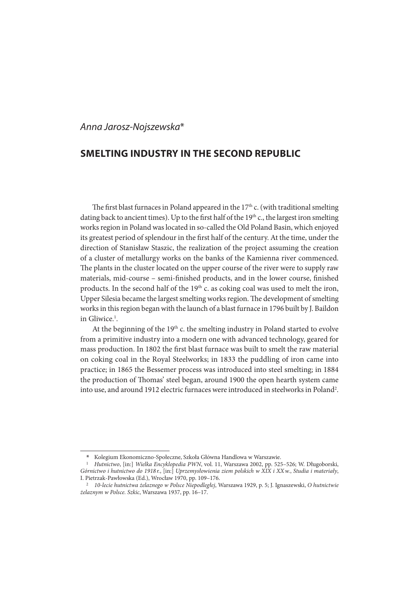## Anna Jarosz-Nojszewska\*

# **SMELTING INDUSTRY IN THE SECOND REPUBLIC**

The first blast furnaces in Poland appeared in the  $17<sup>th</sup>$  c. (with traditional smelting dating back to ancient times). Up to the first half of the  $19<sup>th</sup>$  c., the largest iron smelting works region in Poland was located in so-called the Old Poland Basin, which enjoyed its greatest period of splendour in the first half of the century. At the time, under the direction of Stanisław Staszic, the realization of the project assuming the creation of a cluster of metallurgy works on the banks of the Kamienna river commenced. The plants in the cluster located on the upper course of the river were to supply raw materials, mid-course – semi-finished products, and in the lower course, finished products. In the second half of the 19<sup>th</sup> c. as coking coal was used to melt the iron, Upper Silesia became the largest smelting works region. The development of smelting works in this region began with the launch of a blast furnace in 1796 built by J. Baildon in Gliwice.<sup>1</sup>.

At the beginning of the  $19<sup>th</sup>$  c. the smelting industry in Poland started to evolve from a primitive industry into a modern one with advanced technology, geared for mass production. In 1802 the first blast furnace was built to smelt the raw material on coking coal in the Royal Steelworks; in 1833 the puddling of iron came into practice; in 1865 the Bessemer process was introduced into steel smelting; in 1884 the production of Thomas' steel began, around 1900 the open hearth system came into use, and around 1912 electric furnaces were introduced in steelworks in Poland<sup>2</sup>.

<sup>\*</sup> Kolegium Ekonomiczno-Społeczne, Szkoła Główna Handlowa w Warszawie.

<sup>&</sup>lt;sup>1</sup> Hutnictwo, [in:] Wielka Encyklopedia PWN, vol. 11, Warszawa 2002, pp. 525-526; W. Długoborski, Górnictwo i hutnictwo do 1918 r.,  $\left[\text{in:}\right]$  Uprzemysłowienia ziem polskich w XIX i XX w., Studia i materiały, I. Pietrzak-Pawłowska (Ed.), Wrocław 1970, pp. 109–176.

<sup>&</sup>lt;sup>2</sup> 10-lecie hutnictwa żelaznego w Polsce Niepodległej, Warszawa 1929, p. 5; J. Ignaszewski, O hutnictwie żelaznym w Polsce. Szkic, Warszawa 1937, pp. 16–17.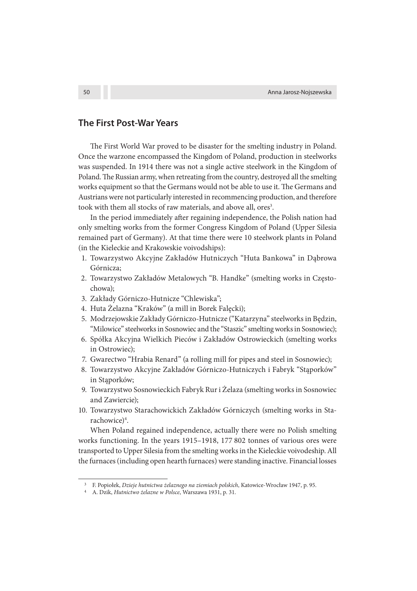## **The First Post-War Years**

The First World War proved to be disaster for the smelting industry in Poland. Once the warzone encompassed the Kingdom of Poland, production in steelworks was suspended. In 1914 there was not a single active steelwork in the Kingdom of Poland. The Russian army, when retreating from the country, destroyed all the smelting works equipment so that the Germans would not be able to use it. The Germans and Austrians were not particularly interested in recommencing production, and therefore took with them all stocks of raw materials, and above all, ores<sup>3</sup>.

In the period immediately after regaining independence, the Polish nation had only smelting works from the former Congress Kingdom of Poland (Upper Silesia remained part of Germany). At that time there were 10 steelwork plants in Poland (in the Kieleckie and Krakowskie voivodships):

- 1. Towarzystwo Akcyjne Zakładów Hutniczych "Huta Bankowa" in Dąbrowa Górnicza;
- 2. Towarzystwo Zakładów Metalowych "B. Handke" (smelting works in Częstochowa);
- 3. Zakłady Górniczo-Hutnicze "Chlewiska";
- 4. Huta Żelazna "Kraków" (a mill in Borek Falęcki);
- 5. Modrzejowskie Zakłady Górniczo-Hutnicze ("Katarzyna" steelworks in Będzin, "Milowice" steelworks in Sosnowiec and the "Staszic" smelting works in Sosnowiec);
- 6. Spółka Akcyjna Wielkich Pieców i Zakładów Ostrowieckich (smelting works in Ostrowiec);
- 7. Gwarectwo "Hrabia Renard" (a rolling mill for pipes and steel in Sosnowiec);
- 8. Towarzystwo Akcyjne Zakładów Górniczo-Hutniczych i Fabryk "Stąporków" in Stąporków;
- 9. Towarzystwo Sosnowieckich Fabryk Rur i Żelaza (smelting works in Sosnowiec and Zawiercie);
- 10. Towarzystwo Starachowickich Zakładów Górniczych (smelting works in Starachowice)<sup>4</sup>.

When Poland regained independence, actually there were no Polish smelting works functioning. In the years 1915–1918, 177 802 tonnes of various ores were transported to Upper Silesia from the smelting works in the Kieleckie voivodeship. All the furnaces (including open hearth furnaces) were standing inactive. Financial losses

<sup>3</sup>F. Popiołek, Dzieje hutnictwa żelaznego na ziemiach polskich, Katowice-Wrocław 1947, p. 95.

<sup>4</sup> A. Dzik, Hutnictwo żelazne w Polsce, Warszawa 1931, p. 31.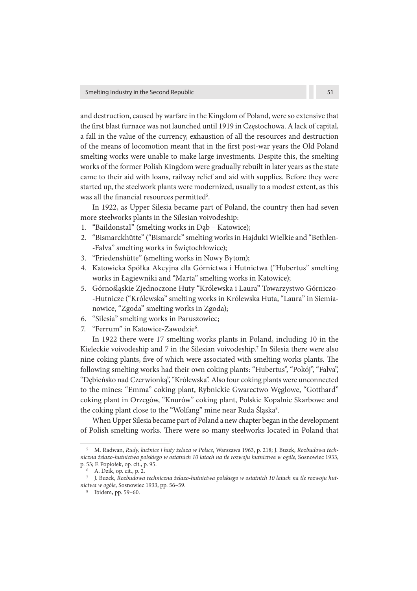and destruction, caused by warfare in the Kingdom of Poland, were so extensive that the first blast furnace was not launched until 1919 in Częstochowa. A lack of capital, a fall in the value of the currency, exhaustion of all the resources and destruction of the means of locomotion meant that in the first post-war years the Old Poland smelting works were unable to make large investments. Despite this, the smelting works of the former Polish Kingdom were gradually rebuilt in later years as the state came to their aid with loans, railway relief and aid with supplies. Before they were started up, the steelwork plants were modernized, usually to a modest extent, as this was all the financial resources permitted<sup>5</sup>.

In 1922, as Upper Silesia became part of Poland, the country then had seven more steelworks plants in the Silesian voivodeship:

- 1. "Baildonstal" (smelting works in Dąb Katowice);
- 2. "Bismarckhütte" ("Bismarck" smelting works in Hajduki Wielkie and "Bethlen- -Falva" smelting works in Świętochłowice);
- 3. "Friedenshütte" (smelting works in Nowy Bytom);
- 4. Katowicka Spółka Akcyjna dla Górnictwa i Hutnictwa ("Hubertus" smelting works in Łagiewniki and "Marta" smelting works in Katowice);
- 5. Górnośląskie Zjednoczone Huty "Królewska i Laura" Towarzystwo Górniczo- -Hutnicze ("Królewska" smelting works in Królewska Huta, "Laura" in Siemianowice, "Zgoda" smelting works in Zgoda);
- 6. "Silesia" smelting works in Paruszowiec;
- 7. "Ferrum" in Katowice-Zawodzie<sup>6</sup>.

In 1922 there were 17 smelting works plants in Poland, including 10 in the Kieleckie voivodeship and 7 in the Silesian voivodeship.<sup>7</sup> In Silesia there were also nine coking plants, five of which were associated with smelting works plants. The following smelting works had their own coking plants: "Hubertus", "Pokój", "Falva", "Dębieńsko nad Czerwionką", "Królewska". Also four coking plants were unconnected to the mines: "Emma" coking plant, Rybnickie Gwarectwo Węglowe, "Gotthard" coking plant in Orzegów, "Knurów" coking plant, Polskie Kopalnie Skarbowe and the coking plant close to the "Wolfang" mine near Ruda Śląska<sup>s</sup>.

When Upper Silesia became part of Poland a new chapter began in the development of Polish smelting works. There were so many steelworks located in Poland that

<sup>5</sup> M. Radwan, Rudy, kuźnice i huty żelaza w Polsce, Warszawa 1963, p. 218; J. Buzek, Rozbudowa techniczna żelazo-hutnictwa polskiego w ostatnich 10 latach na tle rozwoju hutnictwa w ogóle, Sosnowiec 1933, p. 53; F. Popiołek, op. cit., p. 95.

<sup>6</sup>A. Dzik, op. cit., p. 2.

<sup>7</sup> J. Buzek, Rozbudowa techniczna żelazo-hutnictwa polskiego w ostatnich 10 latach na tle rozwoju hutnictwa w ogóle, Sosnowiec 1933, pp. 56–59.

<sup>8</sup> Ibidem, pp. 59–60.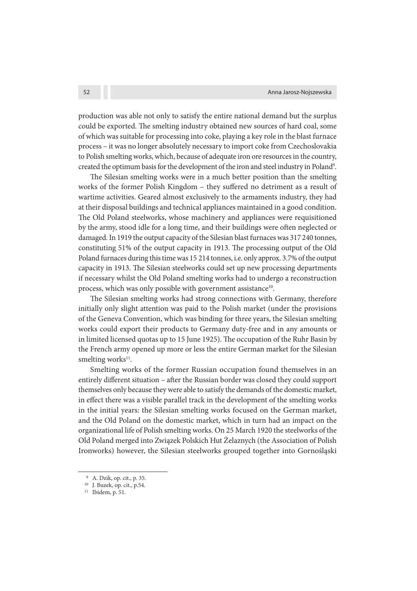production was able not only to satisfy the entire national demand but the surplus could be exported. The smelting industry obtained new sources of hard coal, some of which was suitable for processing into coke, playing a key role in the blast furnace process – it was no longer absolutely necessary to import coke from Czechoslovakia to Polish smelting works, which, because of adequate iron ore resources in the country, created the optimum basis for the development of the iron and steel industry in Poland<sup>9</sup>.

The Silesian smelting works were in a much better position than the smelting works of the former Polish Kingdom - they suffered no detriment as a result of wartime activities. Geared almost exclusively to the armaments industry, they had at their disposal buildings and technical appliances maintained in a good condition. The Old Poland steelworks, whose machinery and appliances were requisitioned by the army, stood idle for a long time, and their buildings were often neglected or damaged. In 1919 the output capacity of the Silesian blast furnaces was 317 240 tonnes, constituting 51% of the output capacity in 1913. The processing output of the Old Poland furnaces during this time was 15 214 tonnes, i.e. only approx. 3.7% of the output capacity in 1913. The Silesian steelworks could set up new processing departments if necessary whilst the Old Poland smelting works had to undergo a reconstruction process, which was only possible with government assistance<sup>10</sup>.

The Silesian smelting works had strong connections with Germany, therefore initially only slight attention was paid to the Polish market (under the provisions of the Geneva Convention, which was binding for three years, the Silesian smelting works could export their products to Germany duty-free and in any amounts or in limited licensed quotas up to 15 June 1925). The occupation of the Ruhr Basin by the French army opened up more or less the entire German market for the Silesian smelting works<sup>11</sup>.

Smelting works of the former Russian occupation found themselves in an entirely different situation – after the Russian border was closed they could support themselves only because they were able to satisfy the demands of the domestic market, in effect there was a visible parallel track in the development of the smelting works in the initial years: the Silesian smelting works focused on the German market, and the Old Poland on the domestic market, which in turn had an impact on the organizational life of Polish smelting works. On 25 March 1920 the steelworks of the Old Poland merged into Związek Polskich Hut Żelaznych (the Association of Polish Ironworks) however, the Silesian steelworks grouped together into Gornośląski

<sup>9</sup>A. Dzik, op. cit., p. 35.

<sup>&</sup>lt;sup>10</sup> J. Buzek, op. cit., p.54.

<sup>11</sup> Ibidem, p. 51.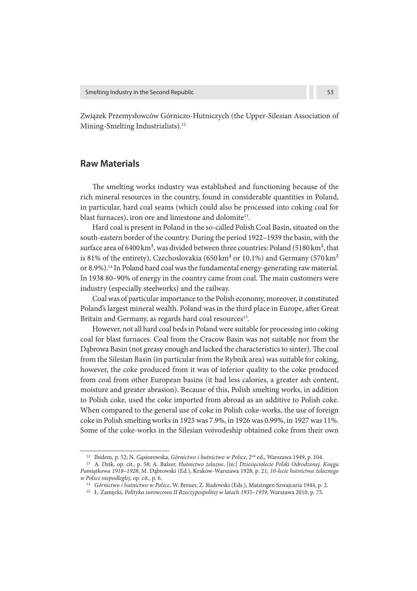Związek Przemysłowców Górniczo-Hutniczych (the Upper-Silesian Association of Mining-Smelting Industrialists).<sup>12</sup>

## **Raw Materials**

The smelting works industry was established and functioning because of the rich mineral resources in the country, found in considerable quantities in Poland, in particular, hard coal seams (which could also be processed into coking coal for blast furnaces), iron ore and limestone and dolomite<sup>13</sup>.

Hard coal is present in Poland in the so-called Polish Coal Basin, situated on the south-eastern border of the country. During the period 1922–1939 the basin, with the surface area of 6400 km<sup>2</sup>, was divided between three countries: Poland (5180 km<sup>2</sup>, that is 81% of the entirety), Czechoslovakia (650 km<sup>2</sup> or 10.1%) and Germany (570 km<sup>2</sup>) or 8.9%).<sup>14</sup> In Poland hard coal was the fundamental energy-generating raw material. In 1938 80–90% of energy in the country came from coal. The main customers were industry (especially steelworks) and the railway.

Coal was of particular importance to the Polish economy, moreover, it constituted Poland's largest mineral wealth. Poland was in the third place in Europe, after Great Britain and Germany, as regards hard coal resources<sup>15</sup>.

However, not all hard coal beds in Poland were suitable for processing into coking coal for blast furnaces. Coal from the Cracow Basin was not suitable nor from the Dąbrowa Basin (not greasy enough and lacked the characteristics to sinter). The coal from the Silesian Basin (in particular from the Rybnik area) was suitable for coking, however, the coke produced from it was of inferior quality to the coke produced from coal from other European basins (it had less calories, a greater ash content, moisture and greater abrasion). Because of this, Polish smelting works, in addition to Polish coke, used the coke imported from abroad as an additive to Polish coke. When compared to the general use of coke in Polish coke-works, the use of foreign coke in Polish smelting works in 1925 was 7.9%, in 1926 was 0.99%, in 1927 was 11%. Some of the coke-works in the Silesian voivodeship obtained coke from their own

<sup>&</sup>lt;sup>12</sup> Ibidem, p. 52; N. Gąsiorowska, Górnictwo i hutnictwo w Polsce, 2<sup>nd</sup> ed., Warszawa 1949, p. 104.

<sup>&</sup>lt;sup>13</sup> A. Dzik, op. cit., p. 58; A. Balzer, Hutnictwo żelazne, [in:] Dziesięciolecie Polski Odrodzonej. Księga Pamiątkowa 1918–1928, M. Dąbrowski (Ed.), Kraków-Warszawa 1928, p. 21; 10-lecie hutnictwa żelaznego w Polsce niepodległej, op. cit., p. 6.

<sup>&</sup>lt;sup>14</sup> Górnictwo i hutnictwo w Polsce, W. Breuer, Z. Rudowski (Eds.), Matzingen Szwajcaria 1944, p. 2.

<sup>15</sup> Ł. Zamęcki, Polityka surowcowa II Rzeczypospolitej w latach 1935–1939, Warszawa 2010, p. 75.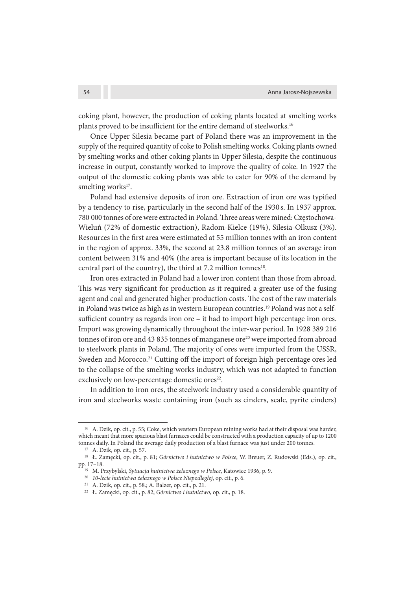coking plant, however, the production of coking plants located at smelting works plants proved to be insufficient for the entire demand of steelworks.<sup>16</sup>

Once Upper Silesia became part of Poland there was an improvement in the supply of the required quantity of coke to Polish smelting works. Coking plants owned by smelting works and other coking plants in Upper Silesia, despite the continuous increase in output, constantly worked to improve the quality of coke. In 1927 the output of the domestic coking plants was able to cater for 90% of the demand by smelting works<sup>17</sup>.

Poland had extensive deposits of iron ore. Extraction of iron ore was typified by a tendency to rise, particularly in the second half of the 1930 s. In 1937 approx. 780 000 tonnes of ore were extracted in Poland. Three areas were mined: Częstochowa-Wieluń (72% of domestic extraction), Radom-Kielce (19%), Silesia-Olkusz (3%). Resources in the first area were estimated at 55 million tonnes with an iron content in the region of approx. 33%, the second at 23.8 million tonnes of an average iron content between 31% and 40% (the area is important because of its location in the central part of the country), the third at 7.2 million tonnes<sup>18</sup>.

Iron ores extracted in Poland had a lower iron content than those from abroad. This was very significant for production as it required a greater use of the fusing agent and coal and generated higher production costs. The cost of the raw materials in Poland was twice as high as in western European countries.<sup>19</sup> Poland was not a selfsufficient country as regards iron ore  $-$  it had to import high percentage iron ores. Import was growing dynamically throughout the inter-war period. In 1928 389 216 tonnes of iron ore and 43 835 tonnes of manganese ore<sup>20</sup> were imported from abroad to steelwork plants in Poland. The majority of ores were imported from the USSR, Sweden and Morocco.<sup>21</sup> Cutting off the import of foreign high-percentage ores led to the collapse of the smelting works industry, which was not adapted to function exclusively on low-percentage domestic ores<sup>22</sup>.

In addition to iron ores, the steelwork industry used a considerable quantity of iron and steelworks waste containing iron (such as cinders, scale, pyrite cinders)

<sup>&</sup>lt;sup>16</sup> A. Dzik, op. cit., p. 55; Coke, which western European mining works had at their disposal was harder, which meant that more spacious blast furnaces could be constructed with a production capacity of up to 1200 tonnes daily. In Poland the average daily production of a blast furnace was just under 200 tonnes.

<sup>17</sup>A. Dzik, op. cit., p. 57.

<sup>18</sup>Ł. Zamęcki, op. cit., p. 81; Górnictwo i hutnictwo w Polsce, W. Breuer, Z. Rudowski (Eds.), op. cit., pp. 17–18.

<sup>&</sup>lt;sup>19</sup> M. Przybylski, Sytuacja hutnictwa żelaznego w Polsce, Katowice 1936, p. 9.

<sup>&</sup>lt;sup>20</sup> 10-lecie hutnictwa żelaznego w Polsce Niepodległej, op. cit., p. 6.

<sup>21</sup>A. Dzik, op. cit., p. 58.; A. Balzer, op. cit., p. 21.

<sup>22</sup> Ł. Zamęcki, op. cit., p. 82; Górnictwo i hutnictwo, op. cit., p. 18.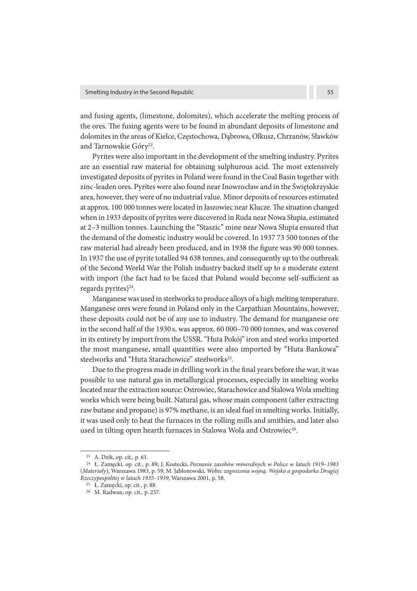and fusing agents, (limestone, dolomites), which accelerate the melting process of the ores. The fusing agents were to be found in abundant deposits of limestone and dolomites in the areas of Kielce, Częstochowa, Dąbrowa, Olkusz, Chrzanów, Sławków and Tarnowskie Góry<sup>23</sup>.

Pyrites were also important in the development of the smelting industry. Pyrites are an essential raw material for obtaining sulphurous acid. The most extensively investigated deposits of pyrites in Poland were found in the Coal Basin together with zinc-leaden ores. Pyrites were also found near Inowrocław and in the Świętokrzyskie area, however, they were of no industrial value. Minor deposits of resources estimated at approx. 100 000 tonnes were located in Jaszowiec near Klucze. The situation changed when in 1933 deposits of pyrites were discovered in Ruda near Nowa Słupia, estimated at 2–3 million tonnes. Launching the "Staszic" mine near Nowa Słupia ensured that the demand of the domestic industry would be covered. In 1937 73 500 tonnes of the raw material had already been produced, and in 1938 the figure was 90 000 tonnes. In 1937 the use of pyrite totalled 94 638 tonnes, and consequently up to the outbreak of the Second World War the Polish industry backed itself up to a moderate extent with import (the fact had to be faced that Poland would become self-sufficient as regards pyrites)<sup>24</sup>.

Manganese was used in steelworks to produce alloys of a high melting temperature. Manganese ores were found in Poland only in the Carpathian Mountains, however, these deposits could not be of any use to industry. The demand for manganese ore in the second half of the 1930 s, was approx. 60 000–70 000 tonnes, and was covered in its entirety by import from the USSR. "Huta Pokój" iron and steel works imported the most manganese, small quantities were also imported by "Huta Bankowa" steelworks and "Huta Starachowice" steelworks<sup>25</sup>.

Due to the progress made in drilling work in the final years before the war, it was possible to use natural gas in metallurgical processes, especially in smelting works located near the extraction source: Ostrowiec, Starachowice and Stalowa Wola smelting works which were being built. Natural gas, whose main component (after extracting raw butane and propane) is 97% methane, is an ideal fuel in smelting works. Initially, it was used only to heat the furnaces in the rolling mills and smithies, and later also used in tilting open hearth furnaces in Stalowa Wola and Ostrowiec<sup>26</sup>.

<sup>23</sup>A. Dzik, op. cit., p. 61.

<sup>24</sup>Ł. Zamęcki, op. cit., p. 89; J. Kostecki, Poznanie zasobów mineralnych w Polsce w latach 1919–1983 (Materiały), Warszawa 1983, p. 59; M. Jabłonowski, Wobec zagrożenia wojną. Wojsko a gospodarka Drugiej Rzeczypospolitej w latach 1935–1939, Warszawa 2001, p. 58.

<sup>25</sup>Ł. Zamęcki, op. cit., p. 88.

<sup>26</sup> M. Radwan, op. cit., p. 237.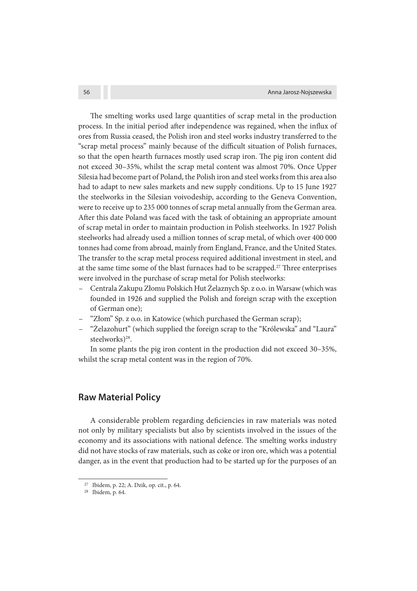The smelting works used large quantities of scrap metal in the production process. In the initial period after independence was regained, when the influx of ores from Russia ceased, the Polish iron and steel works industry transferred to the "scrap metal process" mainly because of the difficult situation of Polish furnaces, so that the open hearth furnaces mostly used scrap iron. The pig iron content did not exceed 30–35%, whilst the scrap metal content was almost 70%. Once Upper Silesia had become part of Poland, the Polish iron and steel works from this area also had to adapt to new sales markets and new supply conditions. Up to 15 June 1927 the steelworks in the Silesian voivodeship, according to the Geneva Convention, were to receive up to 235 000 tonnes of scrap metal annually from the German area. After this date Poland was faced with the task of obtaining an appropriate amount of scrap metal in order to maintain production in Polish steelworks. In 1927 Polish steelworks had already used a million tonnes of scrap metal, of which over 400 000 tonnes had come from abroad, mainly from England, France, and the United States. The transfer to the scrap metal process required additional investment in steel, and at the same time some of the blast furnaces had to be scrapped.<sup>27</sup> Three enterprises were involved in the purchase of scrap metal for Polish steelworks:

- Centrala Zakupu Złomu Polskich Hut Żelaznych Sp. z o.o. in Warsaw (which was founded in 1926 and supplied the Polish and foreign scrap with the exception of German one);
- "Złom" Sp. z o.o. in Katowice (which purchased the German scrap);
- "Żelazohurt" (which supplied the foreign scrap to the "Królewska" and "Laura" steelworks)<sup>28</sup>.

In some plants the pig iron content in the production did not exceed 30–35%, whilst the scrap metal content was in the region of 70%.

## **Raw Material Policy**

A considerable problem regarding deficiencies in raw materials was noted not only by military specialists but also by scientists involved in the issues of the economy and its associations with national defence. The smelting works industry did not have stocks of raw materials, such as coke or iron ore, which was a potential danger, as in the event that production had to be started up for the purposes of an

<sup>27</sup>Ibidem, p. 22; A. Dzik, op. cit., p. 64.

<sup>28</sup> Ibidem, p. 64.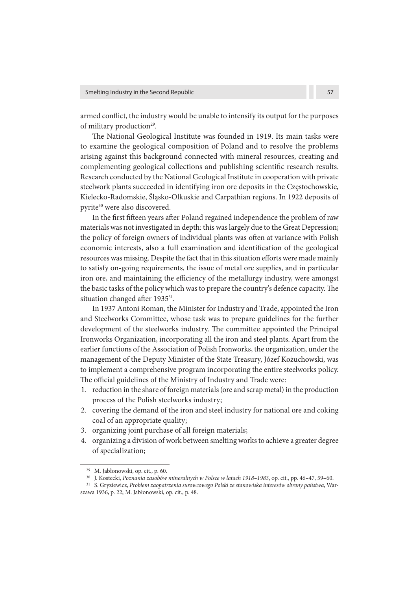armed conflict, the industry would be unable to intensify its output for the purposes of military production<sup>29</sup>.

The National Geological Institute was founded in 1919. Its main tasks were to examine the geological composition of Poland and to resolve the problems arising against this background connected with mineral resources, creating and complementing geological collections and publishing scientific research results. Research conducted by the National Geological Institute in cooperation with private steelwork plants succeeded in identifying iron ore deposits in the Częstochowskie, Kielecko-Radomskie, Śląsko-Olkuskie and Carpathian regions. In 1922 deposits of pyrite<sup>30</sup> were also discovered.

In the first fifteen years after Poland regained independence the problem of raw materials was not investigated in depth: this was largely due to the Great Depression; the policy of foreign owners of individual plants was often at variance with Polish economic interests, also a full examination and identification of the geological resources was missing. Despite the fact that in this situation efforts were made mainly to satisfy on-going requirements, the issue of metal ore supplies, and in particular iron ore, and maintaining the efficiency of the metallurgy industry, were amongst the basic tasks of the policy which was to prepare the country's defence capacity. The situation changed after 1935<sup>31</sup>.

In 1937 Antoni Roman, the Minister for Industry and Trade, appointed the Iron and Steelworks Committee, whose task was to prepare guidelines for the further development of the steelworks industry. The committee appointed the Principal Ironworks Organization, incorporating all the iron and steel plants. Apart from the earlier functions of the Association of Polish Ironworks, the organization, under the management of the Deputy Minister of the State Treasury, Józef Kożuchowski, was to implement a comprehensive program incorporating the entire steelworks policy. The official guidelines of the Ministry of Industry and Trade were:

- 1. reduction in the share of foreign materials (ore and scrap metal) in the production process of the Polish steelworks industry;
- 2. covering the demand of the iron and steel industry for national ore and coking coal of an appropriate quality;
- 3. organizing joint purchase of all foreign materials;
- 4. organizing a division of work between smelting works to achieve a greater degree of specialization;

<sup>29</sup>M. Jabłonowski, op. cit., p. 60.

<sup>&</sup>lt;sup>30</sup> J. Kostecki, Poznania zasobów mineralnych w Polsce w latach 1918–1983, op. cit., pp. 46-47, 59-60.

<sup>&</sup>lt;sup>31</sup> S. Gryziewicz, Problem zaopatrzenia surowcowego Polski ze stanowiska interesów obrony państwa, Warszawa 1936, p. 22; M. Jabłonowski, op. cit., p. 48.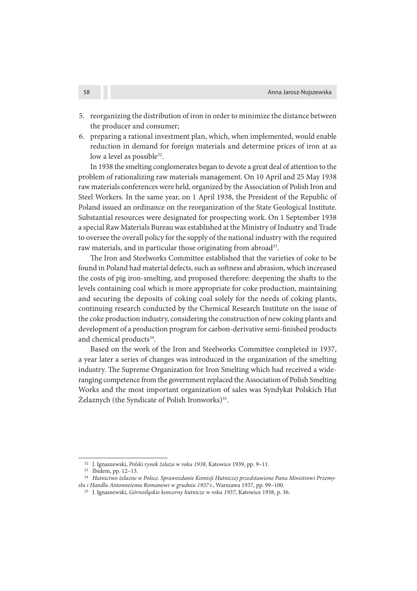- 5. reorganizing the distribution of iron in order to minimize the distance between the producer and consumer;
- 6. preparing a rational investment plan, which, when implemented, would enable reduction in demand for foreign materials and determine prices of iron at as low a level as possible<sup>32</sup>.

In 1938 the smelting conglomerates began to devote a great deal of attention to the problem of rationalizing raw materials management. On 10 April and 25 May 1938 raw materials conferences were held, organized by the Association of Polish Iron and Steel Workers. In the same year, on 1 April 1938, the President of the Republic of Poland issued an ordinance on the reorganization of the State Geological Institute. Substantial resources were designated for prospecting work. On 1 September 1938 a special Raw Materials Bureau was established at the Ministry of Industry and Trade to oversee the overall policy for the supply of the national industry with the required raw materials, and in particular those originating from abroad<sup>33</sup>.

e Iron and Steelworks Committee established that the varieties of coke to be found in Poland had material defects, such as softness and abrasion, which increased the costs of pig iron-smelting, and proposed therefore: deepening the shafts to the levels containing coal which is more appropriate for coke production, maintaining and securing the deposits of coking coal solely for the needs of coking plants, continuing research conducted by the Chemical Research Institute on the issue of the coke production industry, considering the construction of new coking plants and development of a production program for carbon-derivative semi-finished products and chemical products<sup>34</sup>.

Based on the work of the Iron and Steelworks Committee completed in 1937, a year later a series of changes was introduced in the organization of the smelting industry. The Supreme Organization for Iron Smelting which had received a wideranging competence from the government replaced the Association of Polish Smelting Works and the most important organization of sales was Syndykat Polskich Hut Żelaznych (the Syndicate of Polish Ironworks)<sup>35</sup>.

<sup>32</sup> J. Ignaszewski, Polski rynek żelaza w roku 1938, Katowice 1939, pp. 9–11.

<sup>33</sup> Ibidem, pp. 12-13.

<sup>34</sup> Hutnictwo żelazne w Polsce. Sprawozdanie Komisji Hutniczej przedstawione Panu Ministrowi Przemysłu i Handlu Antonneiemu Romanowi w grudniu 1937 r., Warszawa 1937, pp. 99–100.

<sup>35</sup> J. Ignaszewski, Górnośląskie koncerny hutnicze w roku 1937, Katowice 1938, p. 36.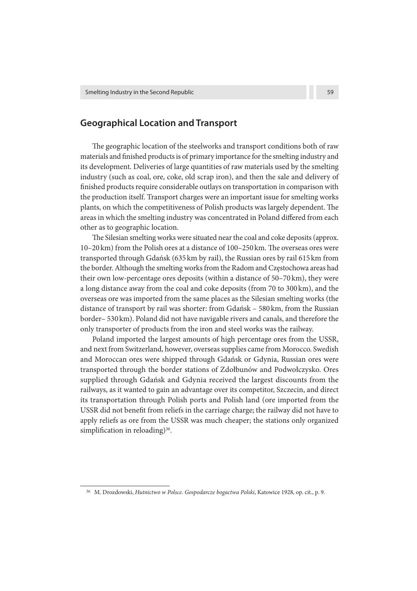## **Geographical Location and Transport**

The geographic location of the steelworks and transport conditions both of raw materials and finished products is of primary importance for the smelting industry and its development. Deliveries of large quantities of raw materials used by the smelting industry (such as coal, ore, coke, old scrap iron), and then the sale and delivery of finished products require considerable outlays on transportation in comparison with the production itself. Transport charges were an important issue for smelting works plants, on which the competitiveness of Polish products was largely dependent. The areas in which the smelting industry was concentrated in Poland differed from each other as to geographic location.

The Silesian smelting works were situated near the coal and coke deposits (approx.  $10-20$  km) from the Polish ores at a distance of  $100-250$  km. The overseas ores were transported through Gdańsk (635 km by rail), the Russian ores by rail 615 km from the border. Although the smelting works from the Radom and Częstochowa areas had their own low-percentage ores deposits (within a distance of 50–70 km), they were a long distance away from the coal and coke deposits (from 70 to 300 km), and the overseas ore was imported from the same places as the Silesian smelting works (the distance of transport by rail was shorter: from Gdańsk – 580 km, from the Russian border– 530 km). Poland did not have navigable rivers and canals, and therefore the only transporter of products from the iron and steel works was the railway.

Poland imported the largest amounts of high percentage ores from the USSR, and next from Switzerland, however, overseas supplies came from Morocco. Swedish and Moroccan ores were shipped through Gdańsk or Gdynia, Russian ores were transported through the border stations of Zdołbunów and Podwołczysko. Ores supplied through Gdańsk and Gdynia received the largest discounts from the railways, as it wanted to gain an advantage over its competitor, Szczecin, and direct its transportation through Polish ports and Polish land (ore imported from the USSR did not benefit from reliefs in the carriage charge; the railway did not have to apply reliefs as ore from the USSR was much cheaper; the stations only organized simplification in reloading)<sup>36</sup>.

<sup>&</sup>lt;sup>36</sup> M. Drozdowski, Hutnictwo w Polsce. Gospodarcze bogactwa Polski, Katowice 1928, op. cit., p. 9.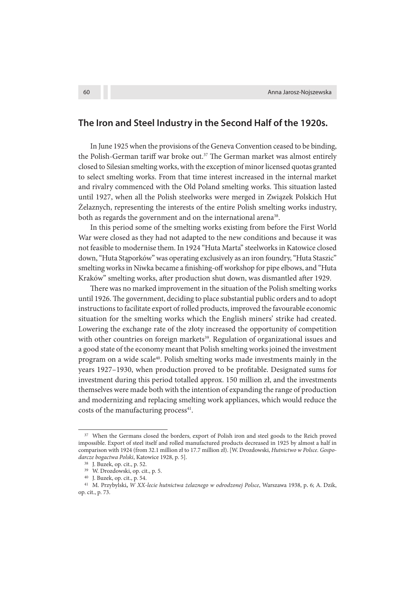## **The Iron and Steel Industry in the Second Half of the 1920s.**

In June 1925 when the provisions of the Geneva Convention ceased to be binding, the Polish-German tariff war broke out.<sup>37</sup> The German market was almost entirely closed to Silesian smelting works, with the exception of minor licensed quotas granted to select smelting works. From that time interest increased in the internal market and rivalry commenced with the Old Poland smelting works. This situation lasted until 1927, when all the Polish steelworks were merged in Związek Polskich Hut Żelaznych, representing the interests of the entire Polish smelting works industry, both as regards the government and on the international arena<sup>38</sup>.

In this period some of the smelting works existing from before the First World War were closed as they had not adapted to the new conditions and because it was not feasible to modernise them. In 1924 "Huta Marta" steelworks in Katowice closed down, "Huta Stąporków" was operating exclusively as an iron foundry, "Huta Staszic" smelting works in Niwka became a finishing-off workshop for pipe elbows, and "Huta Kraków" smelting works, after production shut down, was dismantled after 1929.

There was no marked improvement in the situation of the Polish smelting works until 1926. The government, deciding to place substantial public orders and to adopt instructions to facilitate export of rolled products, improved the favourable economic situation for the smelting works which the English miners' strike had created. Lowering the exchange rate of the złoty increased the opportunity of competition with other countries on foreign markets<sup>39</sup>. Regulation of organizational issues and a good state of the economy meant that Polish smelting works joined the investment program on a wide scale<sup>40</sup>. Polish smelting works made investments mainly in the years 1927–1930, when production proved to be profitable. Designated sums for investment during this period totalled approx. 150 million zł, and the investments themselves were made both with the intention of expanding the range of production and modernizing and replacing smelting work appliances, which would reduce the costs of the manufacturing process<sup>41</sup>.

<sup>&</sup>lt;sup>37</sup> When the Germans closed the borders, export of Polish iron and steel goods to the Reich proved impossible. Export of steel itself and rolled manufactured products decreased in 1925 by almost a half in comparison with 1924 (from 32.1 million zł to 17.7 million zł). [W. Drozdowski, Hutnictwo w Polsce. Gospodarcze bogactwa Polski, Katowice 1928, p. 5].

<sup>&</sup>lt;sup>38</sup> J. Buzek, op. cit., p. 52.

<sup>&</sup>lt;sup>39</sup> W. Drozdowski, op. cit., p. 5.

<sup>&</sup>lt;sup>40</sup> J. Buzek, op. cit., p. 54.

<sup>41</sup>M. Przybylski**,** W XX-lecie hutnictwa żelaznego w odrodzonej Polsce, Warszawa 1938, p**.** 6; A. Dzik, op. cit., p. 73.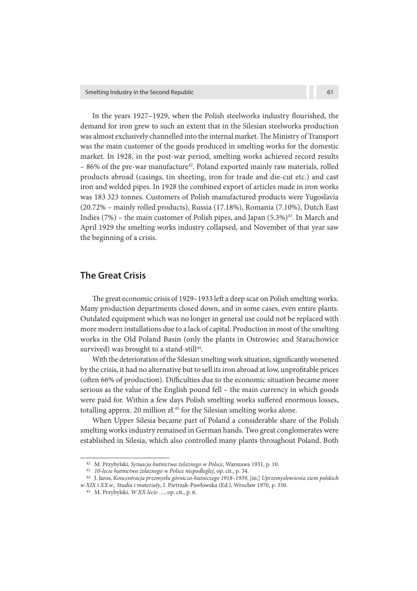In the years  $1927-1929$ , when the Polish steelworks industry flourished, the demand for iron grew to such an extent that in the Silesian steelworks production was almost exclusively channelled into the internal market. The Ministry of Transport was the main customer of the goods produced in smelting works for the domestic market. In 1928, in the post-war period, smelting works achieved record results  $-86%$  of the pre-war manufacture<sup>42</sup>. Poland exported mainly raw materials, rolled products abroad (casings, tin sheeting, iron for trade and die-cut etc.) and cast iron and welded pipes. In 1928 the combined export of articles made in iron works was 183 323 tonnes. Customers of Polish manufactured products were Yugoslavia (20.72% – mainly rolled products), Russia (17.18%), Romania (7.10%), Dutch East Indies  $(7%)$  – the main customer of Polish pipes, and Japan  $(5.3%)^{43}$ . In March and April 1929 the smelting works industry collapsed, and November of that year saw the beginning of a crisis.

## **The Great Crisis**

The great economic crisis of 1929–1933 left a deep scar on Polish smelting works. Many production departments closed down, and in some cases, even entire plants. Outdated equipment which was no longer in general use could not be replaced with more modern installations due to a lack of capital. Production in most of the smelting works in the Old Poland Basin (only the plants in Ostrowiec and Starachowice survived) was brought to a stand-still<sup>44</sup>.

With the deterioration of the Silesian smelting work situation, significantly worsened by the crisis, it had no alternative but to sell its iron abroad at low, unprofitable prices (often 66% of production). Difficulties due to the economic situation became more serious as the value of the English pound fell – the main currency in which goods were paid for. Within a few days Polish smelting works suffered enormous losses, totalling approx. 20 million  $z$ *l*.<sup>45</sup> for the Silesian smelting works alone.

When Upper Silesia became part of Poland a considerable share of the Polish smelting works industry remained in German hands. Two great conglomerates were established in Silesia, which also controlled many plants throughout Poland. Both

<sup>&</sup>lt;sup>42</sup> M. Przybylski, Sytuacja hutnictwa żelaznego w Polsce, Warszawa 1931, p. 10.

<sup>43 10-</sup>lecie hutnictwa żelaznego w Polsce niepodległej, op. cit., p. 34.

<sup>44</sup>J. Jaros, Koncentracja przemysłu górniczo-hutniczego 1918–1939, [in:] Uprzemysłowienia ziem polskich

w XIX i XX w., Studia i materiały, I. Pietrzak-Pawłowska (Ed.), Wrocław 1970, p. 350.

<sup>45</sup> M. Przybylski, W XX lecie …, op. cit., p. 6.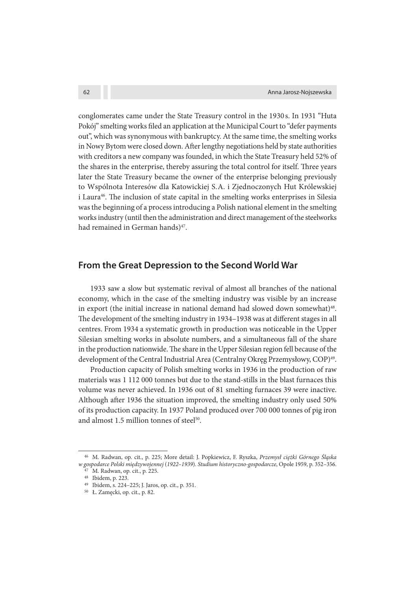conglomerates came under the State Treasury control in the 1930 s. In 1931 "Huta Pokój" smelting works filed an application at the Municipal Court to "defer payments" out", which was synonymous with bankruptcy. At the same time, the smelting works in Nowy Bytom were closed down. After lengthy negotiations held by state authorities with creditors a new company was founded, in which the State Treasury held 52% of the shares in the enterprise, thereby assuring the total control for itself. Three years later the State Treasury became the owner of the enterprise belonging previously to Wspólnota Interesów dla Katowickiej S. A. i Zjednoczonych Hut Królewskiej i Laura<sup>46</sup>. The inclusion of state capital in the smelting works enterprises in Silesia was the beginning of a process introducing a Polish national element in the smelting works industry (until then the administration and direct management of the steelworks had remained in German hands)<sup>47</sup>.

## **From the Great Depression to the Second World War**

1933 saw a slow but systematic revival of almost all branches of the national economy, which in the case of the smelting industry was visible by an increase in export (the initial increase in national demand had slowed down somewhat)<sup>48</sup>. The development of the smelting industry in  $1934-1938$  was at different stages in all centres. From 1934 a systematic growth in production was noticeable in the Upper Silesian smelting works in absolute numbers, and a simultaneous fall of the share in the production nationwide. The share in the Upper Silesian region fell because of the development of the Central Industrial Area (Centralny Okręg Przemysłowy, COP)<sup>49</sup>.

Production capacity of Polish smelting works in 1936 in the production of raw materials was 1 112 000 tonnes but due to the stand-stills in the blast furnaces this volume was never achieved. In 1936 out of 81 smelting furnaces 39 were inactive. Although after 1936 the situation improved, the smelting industry only used 50% of its production capacity. In 1937 Poland produced over 700 000 tonnes of pig iron and almost 1.5 million tonnes of steel<sup>50</sup>.

<sup>&</sup>lt;sup>46</sup> M. Radwan, op. cit., p. 225; More detail: J. Popkiewicz, F. Ryszka, Przemysł ciężki Górnego Ślaska w gospodarce Polski międzywojennej (1922–1939). Studium historyczno-gospodarcze, Opole 1959, p. 352–356.

<sup>&</sup>lt;sup>47</sup> M. Radwan, op. cit., p. 225.

<sup>&</sup>lt;sup>48</sup> Ibidem, p. 223.

<sup>49</sup> Ibidem, s. 224–225; J. Jaros, op. cit., p. 351.

<sup>50</sup> Ł. Zamęcki, op. cit., p. 82.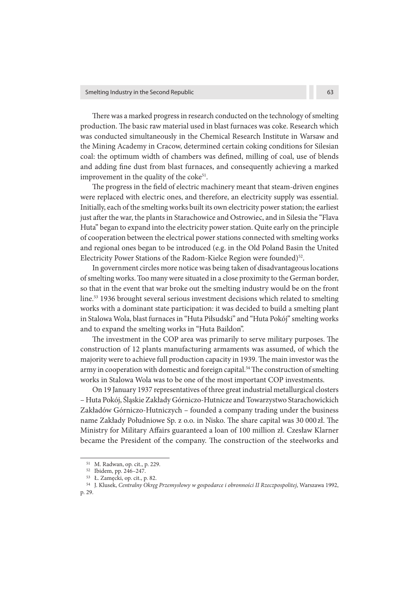There was a marked progress in research conducted on the technology of smelting production. The basic raw material used in blast furnaces was coke. Research which was conducted simultaneously in the Chemical Research Institute in Warsaw and the Mining Academy in Cracow, determined certain coking conditions for Silesian coal: the optimum width of chambers was defined, milling of coal, use of blends and adding fine dust from blast furnaces, and consequently achieving a marked improvement in the quality of the coke<sup>51</sup>.

The progress in the field of electric machinery meant that steam-driven engines were replaced with electric ones, and therefore, an electricity supply was essential. Initially, each of the smelting works built its own electricity power station; the earliest just after the war, the plants in Starachowice and Ostrowiec, and in Silesia the "Flava Huta" began to expand into the electricity power station. Quite early on the principle of cooperation between the electrical power stations connected with smelting works and regional ones began to be introduced (e.g. in the Old Poland Basin the United Electricity Power Stations of the Radom-Kielce Region were founded)<sup>52</sup>.

In government circles more notice was being taken of disadvantageous locations of smelting works. Too many were situated in a close proximity to the German border, so that in the event that war broke out the smelting industry would be on the front line.<sup>53</sup> 1936 brought several serious investment decisions which related to smelting works with a dominant state participation: it was decided to build a smelting plant in Stalowa Wola, blast furnaces in "Huta Piłsudski" and "Huta Pokój" smelting works and to expand the smelting works in "Huta Baildon".

The investment in the COP area was primarily to serve military purposes. The construction of 12 plants manufacturing armaments was assumed, of which the majority were to achieve full production capacity in 1939. The main investor was the army in cooperation with domestic and foreign capital.<sup>54</sup> The construction of smelting works in Stalowa Wola was to be one of the most important COP investments.

On 19 January 1937 representatives of three great industrial metallurgical closters – Huta Pokój, Śląskie Zakłady Górniczo-Hutnicze and Towarzystwo Starachowickich Zakładów Górniczo-Hutniczych – founded a company trading under the business name Zakłady Południowe Sp. z o.o. in Nisko. The share capital was 30 000 zł. The Ministry for Military Affairs guaranteed a loan of 100 million zł. Czesław Klarner became the President of the company. The construction of the steelworks and

<sup>51</sup>M. Radwan, op. cit., p. 229.

<sup>52</sup> Ibidem, pp. 246-247.

<sup>53</sup>Ł. Zamęcki, op. cit., p. 82.

<sup>54</sup> J. Klusek, Centralny Okręg Przemysłowy w gospodarce i obronności II Rzeczpospolitej, Warszawa 1992, p. 29.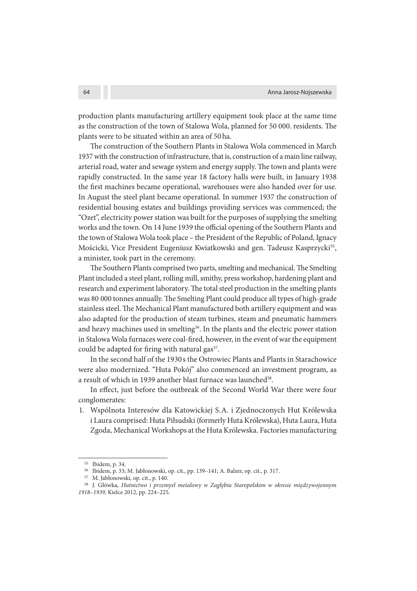production plants manufacturing artillery equipment took place at the same time as the construction of the town of Stalowa Wola, planned for 50 000. residents. The plants were to be situated within an area of 50 ha.

The construction of the Southern Plants in Stalowa Wola commenced in March 1937 with the construction of infrastructure, that is, construction of a main line railway, arterial road, water and sewage system and energy supply. The town and plants were rapidly constructed. In the same year 18 factory halls were built, in January 1938 the first machines became operational, warehouses were also handed over for use. In August the steel plant became operational. In summer 1937 the construction of residential housing estates and buildings providing services was commenced; the "Ozet", electricity power station was built for the purposes of supplying the smelting works and the town. On 14 June 1939 the official opening of the Southern Plants and the town of Stalowa Wola took place – the President of the Republic of Poland, Ignacy Mościcki, Vice President Eugeniusz Kwiatkowski and gen. Tadeusz Kasprzycki<sup>55</sup>, a minister, took part in the ceremony.

The Southern Plants comprised two parts, smelting and mechanical. The Smelting Plant included a steel plant, rolling mill, smithy, press workshop, hardening plant and research and experiment laboratory. The total steel production in the smelting plants was 80 000 tonnes annually. The Smelting Plant could produce all types of high-grade stainless steel. The Mechanical Plant manufactured both artillery equipment and was also adapted for the production of steam turbines, steam and pneumatic hammers and heavy machines used in smelting<sup>56</sup>. In the plants and the electric power station in Stalowa Wola furnaces were coal-fired, however, in the event of war the equipment could be adapted for firing with natural gas<sup>57</sup>.

In the second half of the 1930 s the Ostrowiec Plants and Plants in Starachowice were also modernized. "Huta Pokój" also commenced an investment program, as a result of which in 1939 another blast furnace was launched<sup>58</sup>.

In effect, just before the outbreak of the Second World War there were four conglomerates:

1. Wspólnota Interesów dla Katowickiej S. A. i Zjednoczonych Hut Królewska i Laura comprised: Huta Piłsudski (formerly Huta Królewska), Huta Laura, Huta Zgoda, Mechanical Workshops at the Huta Królewska. Factories manufacturing

<sup>&</sup>lt;sup>55</sup> Ibidem, p. 34.

<sup>&</sup>lt;sup>56</sup> Ibidem, p. 33; M. Jabłonowski, op. cit., pp. 139-141; A. Balzer, op. cit., p. 317.

<sup>&</sup>lt;sup>57</sup> M. Jabłonowski, op. cit., p. 140.

<sup>58</sup>J. Główka**,** Hutnictwo i przemysł metalowy w Zagłębiu Staropolskim w okresie międzywojennym 1918–1939, Kielce 2012, pp. 224–225.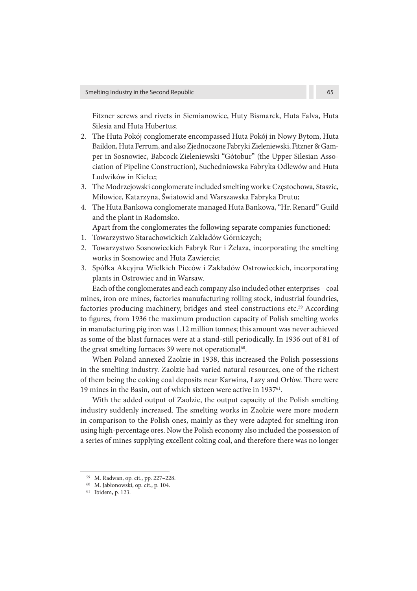Fitzner screws and rivets in Siemianowice, Huty Bismarck, Huta Falva, Huta Silesia and Huta Hubertus;

- 2. The Huta Pokój conglomerate encompassed Huta Pokój in Nowy Bytom, Huta Baildon, Huta Ferrum, and also Zjednoczone Fabryki Zieleniewski, Fitzner & Gamper in Sosnowiec, Babcock-Zieleniewski "Gótobur" (the Upper Silesian Association of Pipeline Construction), Suchedniowska Fabryka Odlewów and Huta Ludwików in Kielce;
- 3. The Modrzejowski conglomerate included smelting works: Częstochowa, Staszic, Milowice, Katarzyna, Światowid and Warszawska Fabryka Drutu;
- 4. The Huta Bankowa conglomerate managed Huta Bankowa, "Hr. Renard" Guild and the plant in Radomsko.

Apart from the conglomerates the following separate companies functioned:

- 1. Towarzystwo Starachowickich Zakładów Górniczych;
- 2. Towarzystwo Sosnowieckich Fabryk Rur i Żelaza, incorporating the smelting works in Sosnowiec and Huta Zawiercie;
- 3. Spółka Akcyjna Wielkich Pieców i Zakładów Ostrowieckich, incorporating plants in Ostrowiec and in Warsaw.

Each of the conglomerates and each company also included other enterprises – coal mines, iron ore mines, factories manufacturing rolling stock, industrial foundries, factories producing machinery, bridges and steel constructions etc.<sup>59</sup> According to figures, from 1936 the maximum production capacity of Polish smelting works in manufacturing pig iron was 1.12 million tonnes; this amount was never achieved as some of the blast furnaces were at a stand-still periodically. In 1936 out of 81 of the great smelting furnaces 39 were not operational<sup>60</sup>.

When Poland annexed Zaolzie in 1938, this increased the Polish possessions in the smelting industry. Zaolzie had varied natural resources, one of the richest of them being the coking coal deposits near Karwina, Łazy and Orłów. There were 19 mines in the Basin, out of which sixteen were active in 1937<sup>61</sup>.

With the added output of Zaolzie, the output capacity of the Polish smelting industry suddenly increased. The smelting works in Zaolzie were more modern in comparison to the Polish ones, mainly as they were adapted for smelting iron using high-percentage ores. Now the Polish economy also included the possession of a series of mines supplying excellent coking coal, and therefore there was no longer

<sup>59</sup>M. Radwan, op. cit., pp. 227–228.

<sup>60</sup>M. Jabłonowski, op. cit., p. 104.

<sup>61</sup> Ibidem, p. 123.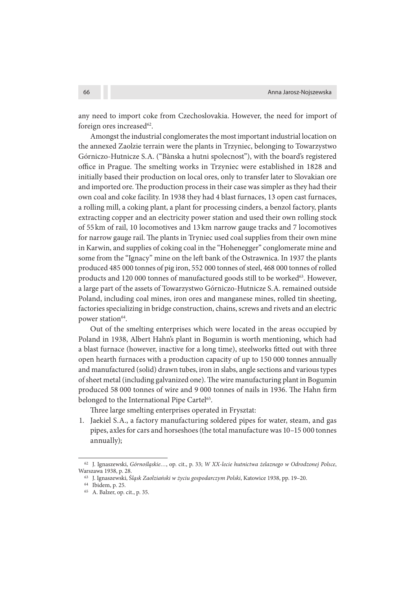any need to import coke from Czechoslovakia. However, the need for import of foreign ores increased<sup>62</sup>.

Amongst the industrial conglomerates the most important industrial location on the annexed Zaolzie terrain were the plants in Trzyniec, belonging to Towarzystwo Górniczo-Hutnicze S. A. ("Bànska a hutni spolecnost"), with the board's registered office in Prague. The smelting works in Trzyniec were established in 1828 and initially based their production on local ores, only to transfer later to Slovakian ore and imported ore. The production process in their case was simpler as they had their own coal and coke facility. In 1938 they had 4 blast furnaces, 13 open cast furnaces, a rolling mill, a coking plant, a plant for processing cinders, a benzol factory, plants extracting copper and an electricity power station and used their own rolling stock of 55 km of rail, 10 locomotives and 13 km narrow gauge tracks and 7 locomotives for narrow gauge rail. The plants in Tryniec used coal supplies from their own mine in Karwin, and supplies of coking coal in the "Hohenegger" conglomerate mine and some from the "Ignacy" mine on the left bank of the Ostrawnica. In 1937 the plants produced 485 000 tonnes of pig iron, 552 000 tonnes of steel, 468 000 tonnes of rolled products and 120 000 tonnes of manufactured goods still to be worked<sup>63</sup>. However, a large part of the assets of Towarzystwo Górniczo-Hutnicze S. A. remained outside Poland, including coal mines, iron ores and manganese mines, rolled tin sheeting, factories specializing in bridge construction, chains, screws and rivets and an electric power station<sup>64</sup>.

Out of the smelting enterprises which were located in the areas occupied by Poland in 1938, Albert Hahn's plant in Bogumin is worth mentioning, which had a blast furnace (however, inactive for a long time), steelworks fitted out with three open hearth furnaces with a production capacity of up to 150 000 tonnes annually and manufactured (solid) drawn tubes, iron in slabs, angle sections and various types of sheet metal (including galvanized one). The wire manufacturing plant in Bogumin produced 58 000 tonnes of wire and 9 000 tonnes of nails in 1936. The Hahn firm belonged to the International Pipe Cartel<sup>65</sup>.

Three large smelting enterprises operated in Frysztat:

1. Jaekiel S.A., a factory manufacturing soldered pipes for water, steam, and gas pipes, axles for cars and horseshoes (the total manufacture was 10–15 000 tonnes annually);

<sup>62</sup> J. Ignaszewski, Górnośląskie..., op. cit., p. 33; W XX-lecie hutnictwa żelaznego w Odrodzonej Polsce, Warszawa 1938, p. 28.

<sup>63</sup> J. Ignaszewski, Śląsk Zaolziański w życiu gospodarczym Polski, Katowice 1938, pp. 19-20.

<sup>&</sup>lt;sup>64</sup> Ibidem, p. 25.

<sup>65</sup> A. Balzer, op. cit., p. 35.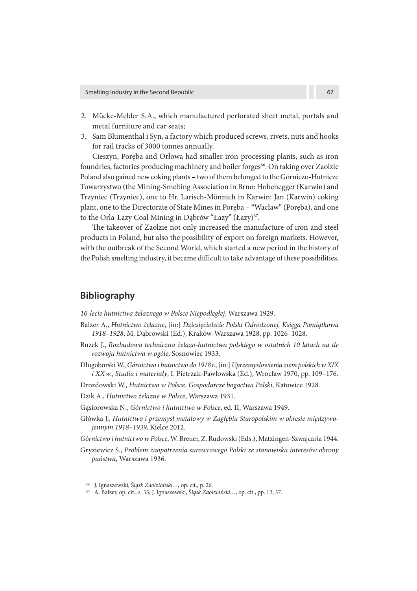- 2. Mücke-Melder S.A., which manufactured perforated sheet metal, portals and metal furniture and car seats;
- 3. Sam Blumenthal i Syn, a factory which produced screws, rivets, nuts and hooks for rail tracks of 3000 tonnes annually.

Cieszyn, Poręba and Orłowa had smaller iron-processing plants, such as iron foundries, factories producing machinery and boiler forges<sup>66</sup>. On taking over Zaolzie Poland also gained new coking plants – two of them belonged to the Górniczo-Hutnicze Towarzystwo (the Mining-Smelting Association in Brno: Hohenegger (Karwin) and Trzyniec (Trzyniec), one to Hr. Larisch-Mönnich in Karwin: Jan (Karwin) coking plant, one to the Directorate of State Mines in Poręba – "Wacław" (Poręba), and one to the Orla-Lazy Coal Mining in Dąbrów "Łazy" (Łazy)<sup>67</sup>.

The takeover of Zaolzie not only increased the manufacture of iron and steel products in Poland, but also the possibility of export on foreign markets. However, with the outbreak of the Second World, which started a new period in the history of the Polish smelting industry, it became difficult to take advantage of these possibilities.

## **Bibliography**

10-lecie hutnictwa żelaznego w Polsce Niepodległej, Warszawa 1929.

- Balzer A., Hutnictwo żelazne, [in:] Dziesięciolecie Polski Odrodzonej. Księga Pamiątkowa 1918–1928, M. Dąbrowski (Ed.), Kraków-Warszawa 1928, pp. 1026–1028.
- Buzek J., Rozbudowa techniczna żelazo-hutnictwa polskiego w ostatnich 10 latach na tle rozwoju hutnictwa w ogóle, Sosnowiec 1933.
- Długoborski W., Górnictwo i hutnictwo do 1918 r., [in:] Uprzemysłowienia ziem polskich w XIX i XX w., Studia i materiały, I. Pietrzak-Pawłowska (Ed.), Wrocław 1970, pp. 109–176.

Drozdowski W., Hutnictwo w Polsce. Gospodarcze bogactwa Polski, Katowice 1928.

Dzik A., Hutnictwo żelazne w Polsce, Warszawa 1931.

Gąsiorowska N., Górnictwo i hutnictwo w Polsce, ed. II, Warszawa 1949.

Główka J., Hutnictwo i przemysł metalowy w Zagłębiu Staropolskim w okresie międzywojennym 1918–1939, Kielce 2012.

Górnictwo i hutnictwo w Polsce, W. Breuer, Z. Rudowski (Eds.), Matzingen-Szwajcaria 1944.

Gryziewicz S., Problem zaopatrzenia surowcowego Polski ze stanowiska interesów obrony państwa, Warszawa 1936.

<sup>&</sup>lt;sup>66</sup> J. Ignaszewski, Śląsk Zaolziański..., op. cit., p. 26.

<sup>67</sup> A. Balzer, op. cit., s. 33; J. Ignaszewski, Śląsk Zaolziański…, op. cit., pp. 12, 37.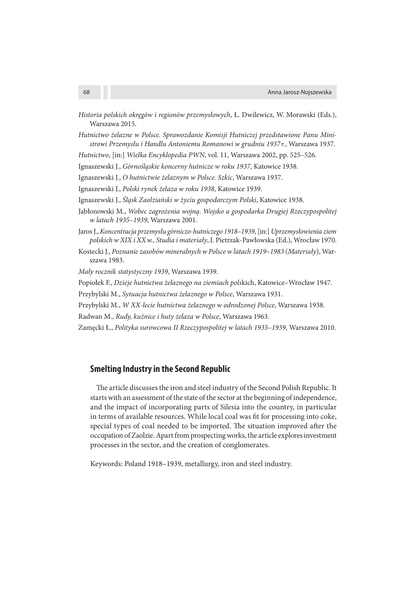- Historia polskich okręgów i regionów przemysłowych, Ł. Dwilewicz, W. Morawski (Eds.), Warszawa 2015.
- Hutnictwo żelazne w Polsce. Sprawozdanie Komisji Hutniczej przedstawione Panu Ministrowi Przemysłu i Handlu Antoniemu Romanowi w grudniu 1937 r., Warszawa 1937.

Hutnictwo, [in:] Wielka Encyklopedia PWN, vol. 11, Warszawa 2002, pp. 525–526.

Ignaszewski J., Górnośląskie koncerny hutnicze w roku 1937, Katowice 1938.

Ignaszewski J., O hutnictwie żelaznym w Polsce. Szkic, Warszawa 1937.

Ignaszewski J., Polski rynek żelaza w roku 1938, Katowice 1939.

- Ignaszewski J., Śląsk Zaolziański w życiu gospodarczym Polski, Katowice 1938.
- Jabłonowski M., Wobec zagrożenia wojną. Wojsko a gospodarka Drugiej Rzeczypospolitej w latach 1935–1939, Warszawa 2001.
- Jaros J., Koncentracja przemysłu górniczo-hutniczego 1918–1939, [in:] Uprzemysłowienia ziem polskich w XIX i XX w., Studia i materiały, I. Pietrzak-Pawłowska (Ed.), Wrocław 1970.
- Kostecki J., Poznanie zasobów mineralnych w Polsce w latach 1919–1983 (Materiały), Warszawa 1983.

Mały rocznik statystyczny 1939, Warszawa 1939.

Popiołek F., Dzieje hutnictwa żelaznego na ziemiach polskich, Katowice–Wrocław 1947.

- Przybylski M., Sytuacja hutnictwa żelaznego w Polsce, Warszawa 1931.
- Przybylski M., W XX-lecie hutnictwa żelaznego w odrodzonej Polsce, Warszawa 1938.
- Radwan M., Rudy, kuźnice i huty żelaza w Polsce, Warszawa 1963.

Zamęcki Ł., Polityka surowcowa II Rzeczypospolitej w latach 1935–1939, Warszawa 2010.

#### **Smelting Industry in the Second Republic**

The article discusses the iron and steel industry of the Second Polish Republic. It starts with an assessment of the state of the sector at the beginning of independence, and the impact of incorporating parts of Silesia into the country, in particular in terms of available resources. While local coal was fit for processing into coke, special types of coal needed to be imported. The situation improved after the occupation of Zaolzie. Apart from prospecting works, the article explores investment processes in the sector, and the creation of conglomerates.

Keywords: Poland 1918–1939, metallurgy, iron and steel industry.